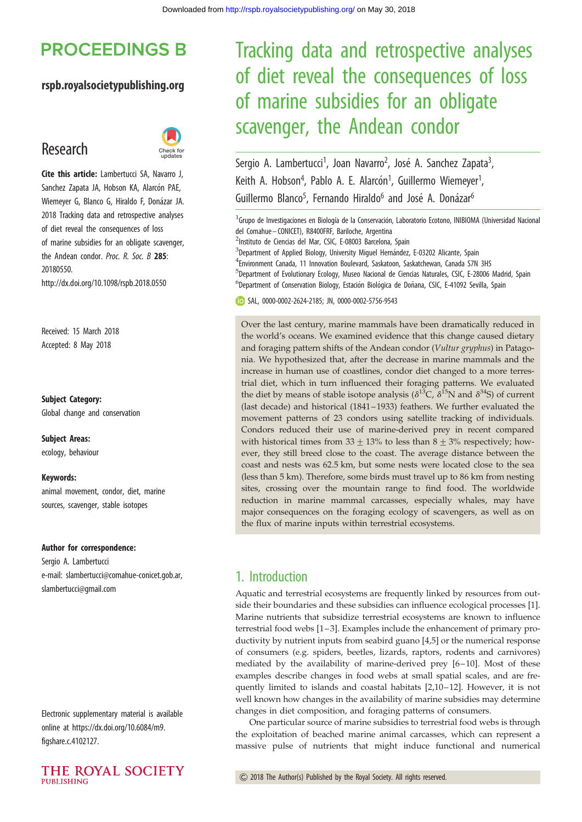## **PROCEEDINGS B**

#### rspb.royalsocietypublishing.org

## Research



Cite this article: Lambertucci SA, Navarro J, Sanchez Zapata JA, Hobson KA, Alarcón PAE, Wiemeyer G, Blanco G, Hiraldo F, Donázar JA. 2018 Tracking data and retrospective analyses of diet reveal the consequences of loss of marine subsidies for an obligate scavenger, the Andean condor. Proc. R. Soc. B 285: 20180550. http://dx.doi.org/10.1098/rspb.2018.0550

Received: 15 March 2018 Accepted: 8 May 2018

#### Subject Category:

Global change and conservation

Subject Areas: ecology, behaviour

#### Keywords:

animal movement, condor, diet, marine sources, scavenger, stable isotopes

#### Author for correspondence:

Sergio A. Lambertucci e-mail: [slambertucci@comahue-conicet.gob.ar,](mailto:slambertucci@comahue-conicet.gob.ar) [slambertucci@gmail.com](mailto:slambertucci@gmail.com)

Electronic supplementary material is available online at [https://dx.doi.org/10.6084/m9.](https://dx.doi.org/10.6084/m9.figshare.c.4102127) [figshare.c.4102127](https://dx.doi.org/10.6084/m9.figshare.c.4102127).



# Tracking data and retrospective analyses of diet reveal the consequences of loss of marine subsidies for an obligate scavenger, the Andean condor

Sergio A. Lambertucci<sup>1</sup>, Joan Navarro<sup>2</sup>, José A. Sanchez Zapata<sup>3</sup> , Keith A. Hobson<sup>4</sup>, Pablo A. E. Alarcón<sup>1</sup>, Guillermo Wiemeyer<sup>1</sup> , Guillermo Blanco<sup>5</sup>, Fernando Hiraldo<sup>6</sup> and José A. Donázar<sup>6</sup>

<sup>1</sup> Grupo de Investigaciones en Biología de la Conservación, Laboratorio Ecotono, INIBIOMA (Universidad Nacional del Comahue – CONICET), R8400FRF, Bariloche, Argentina

<sup>2</sup>Instituto de Ciencias del Mar, CSIC, E-08003 Barcelona, Spain

<sup>3</sup>Department of Applied Biology, University Miguel Hernández, E-03202 Alicante, Spain

4 Environment Canada, 11 Innovation Boulevard, Saskatoon, Saskatchewan, Canada S7N 3H5

<sup>5</sup>Department of Evolutionary Ecology, Museo Nacional de Ciencias Naturales, CSIC, E-28006 Madrid, Spain <sup>6</sup>Department of Conservation Biology, Estación Biológica de Doñana, CSIC, E-41092 Sevilla, Spain

SAL, [0000-0002-2624-2185;](http://orcid.org/0000-0002-2624-2185) JN, [0000-0002-5756-9543](http://orcid.org/0000-0002-5756-9543)

Over the last century, marine mammals have been dramatically reduced in the world's oceans. We examined evidence that this change caused dietary and foraging pattern shifts of the Andean condor (Vultur gryphus) in Patagonia. We hypothesized that, after the decrease in marine mammals and the increase in human use of coastlines, condor diet changed to a more terrestrial diet, which in turn influenced their foraging patterns. We evaluated the diet by means of stable isotope analysis ( $\delta^{13}C$ ,  $\delta^{15}N$  and  $\delta^{34}S$ ) of current (last decade) and historical (1841– 1933) feathers. We further evaluated the movement patterns of 23 condors using satellite tracking of individuals. Condors reduced their use of marine-derived prey in recent compared with historical times from  $33 \pm 13$ % to less than  $8 \pm 3$ % respectively; however, they still breed close to the coast. The average distance between the coast and nests was 62.5 km, but some nests were located close to the sea (less than 5 km). Therefore, some birds must travel up to 86 km from nesting sites, crossing over the mountain range to find food. The worldwide reduction in marine mammal carcasses, especially whales, may have major consequences on the foraging ecology of scavengers, as well as on the flux of marine inputs within terrestrial ecosystems.

## 1. Introduction

Aquatic and terrestrial ecosystems are frequently linked by resources from outside their boundaries and these subsidies can influence ecological processes [\[1\]](#page-5-0). Marine nutrients that subsidize terrestrial ecosystems are known to influence terrestrial food webs [\[1](#page-5-0)–[3](#page-5-0)]. Examples include the enhancement of primary productivity by nutrient inputs from seabird guano [[4,5\]](#page-5-0) or the numerical response of consumers (e.g. spiders, beetles, lizards, raptors, rodents and carnivores) mediated by the availability of marine-derived prey [[6](#page-5-0)-10]. Most of these examples describe changes in food webs at small spatial scales, and are fre-quently limited to islands and coastal habitats [[2](#page-5-0),[10](#page-5-0)-12]. However, it is not well known how changes in the availability of marine subsidies may determine changes in diet composition, and foraging patterns of consumers.

One particular source of marine subsidies to terrestrial food webs is through the exploitation of beached marine animal carcasses, which can represent a massive pulse of nutrients that might induce functional and numerical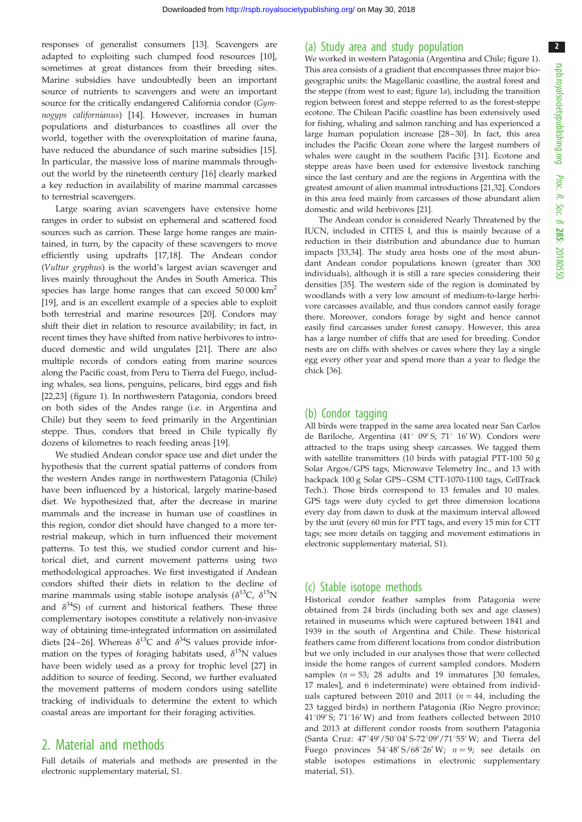responses of generalist consumers [[13\]](#page-5-0). Scavengers are adapted to exploiting such clumped food resources [\[10](#page-5-0)], sometimes at great distances from their breeding sites. Marine subsidies have undoubtedly been an important source of nutrients to scavengers and were an important source for the critically endangered California condor (Gymnogyps californianus) [\[14](#page-5-0)]. However, increases in human populations and disturbances to coastlines all over the world, together with the overexploitation of marine fauna, have reduced the abundance of such marine subsidies [\[15](#page-5-0)]. In particular, the massive loss of marine mammals throughout the world by the nineteenth century [\[16](#page-5-0)] clearly marked a key reduction in availability of marine mammal carcasses to terrestrial scavengers.

Large soaring avian scavengers have extensive home ranges in order to subsist on ephemeral and scattered food sources such as carrion. These large home ranges are maintained, in turn, by the capacity of these scavengers to move efficiently using updrafts [[17,18\]](#page-5-0). The Andean condor (Vultur gryphus) is the world's largest avian scavenger and lives mainly throughout the Andes in South America. This species has large home ranges that can exceed 50 000 km2 [\[19](#page-5-0)], and is an excellent example of a species able to exploit both terrestrial and marine resources [[20\]](#page-5-0). Condors may shift their diet in relation to resource availability; in fact, in recent times they have shifted from native herbivores to introduced domestic and wild ungulates [\[21](#page-5-0)]. There are also multiple records of condors eating from marine sources along the Pacific coast, from Peru to Tierra del Fuego, including whales, sea lions, penguins, pelicans, bird eggs and fish [\[22](#page-5-0),[23\]](#page-5-0) ([figure 1](#page-2-0)). In northwestern Patagonia, condors breed on both sides of the Andes range (i.e. in Argentina and Chile) but they seem to feed primarily in the Argentinian steppe. Thus, condors that breed in Chile typically fly dozens of kilometres to reach feeding areas [\[19](#page-5-0)].

We studied Andean condor space use and diet under the hypothesis that the current spatial patterns of condors from the western Andes range in northwestern Patagonia (Chile) have been influenced by a historical, largely marine-based diet. We hypothesized that, after the decrease in marine mammals and the increase in human use of coastlines in this region, condor diet should have changed to a more terrestrial makeup, which in turn influenced their movement patterns. To test this, we studied condor current and historical diet, and current movement patterns using two methodological approaches. We first investigated if Andean condors shifted their diets in relation to the decline of marine mammals using stable isotope analysis ( $\delta^{13}C$ ,  $\delta^{15}N$ and  $\delta^{34}$ S) of current and historical feathers. These three complementary isotopes constitute a relatively non-invasive way of obtaining time-integrated information on assimilated diets [[24](#page-5-0)–26]. Whereas  $\delta^{13}$ C and  $\delta^{34}$ S values provide information on the types of foraging habitats used,  $\delta^{15}N$  values have been widely used as a proxy for trophic level [\[27](#page-5-0)] in addition to source of feeding. Second, we further evaluated the movement patterns of modern condors using satellite tracking of individuals to determine the extent to which coastal areas are important for their foraging activities.

## 2. Material and methods

Full details of materials and methods are presented in the electronic supplementary material, S1.

#### (a) Study area and study population

We worked in western Patagonia (Argentina and Chile; [figure 1\)](#page-2-0). This area consists of a gradient that encompasses three major biogeographic units: the Magellanic coastline, the austral forest and the steppe (from west to east; [figure 1](#page-2-0)a), including the transition region between forest and steppe referred to as the forest-steppe ecotone. The Chilean Pacific coastline has been extensively used for fishing, whaling and salmon ranching and has experienced a large human population increase [[28](#page-5-0)-30]. In fact, this area includes the Pacific Ocean zone where the largest numbers of whales were caught in the southern Pacific [[31](#page-6-0)]. Ecotone and steppe areas have been used for extensive livestock ranching since the last century and are the regions in Argentina with the greatest amount of alien mammal introductions [[21](#page-5-0)[,32\]](#page-6-0). Condors in this area feed mainly from carcasses of those abundant alien domestic and wild herbivores [[21](#page-5-0)].

The Andean condor is considered Nearly Threatened by the IUCN, included in CITES I, and this is mainly because of a reduction in their distribution and abundance due to human impacts [[33,34](#page-6-0)]. The study area hosts one of the most abundant Andean condor populations known (greater than 300 individuals), although it is still a rare species considering their densities [[35\]](#page-6-0). The western side of the region is dominated by woodlands with a very low amount of medium-to-large herbivore carcasses available, and thus condors cannot easily forage there. Moreover, condors forage by sight and hence cannot easily find carcasses under forest canopy. However, this area has a large number of cliffs that are used for breeding. Condor nests are on cliffs with shelves or caves where they lay a single egg every other year and spend more than a year to fledge the chick [[36\]](#page-6-0).

#### (b) Condor tagging

All birds were trapped in the same area located near San Carlos de Bariloche, Argentina (41° 09′ S; 71° 16′ W). Condors were attracted to the traps using sheep carcasses. We tagged them with satellite transmitters (10 birds with patagial PTT-100 50 g Solar Argos/GPS tags, Microwave Telemetry Inc., and 13 with backpack 100 g Solar GPS –GSM CTT-1070-1100 tags, CellTrack Tech.). Those birds correspond to 13 females and 10 males. GPS tags were duty cycled to get three dimension locations every day from dawn to dusk at the maximum interval allowed by the unit (every 60 min for PTT tags, and every 15 min for CTT tags; see more details on tagging and movement estimations in electronic supplementary material, S1).

#### (c) Stable isotope methods

Historical condor feather samples from Patagonia were obtained from 24 birds (including both sex and age classes) retained in museums which were captured between 1841 and 1939 in the south of Argentina and Chile. These historical feathers came from different locations from condor distribution but we only included in our analyses those that were collected inside the home ranges of current sampled condors. Modern samples ( $n = 53$ ; 28 adults and 19 immatures [30 females, 17 males], and 6 indeterminate) were obtained from individuals captured between 2010 and 2011 ( $n = 44$ , including the 23 tagged birds) in northern Patagonia (Rio Negro province;  $41^{\circ}09'$  S;  $71^{\circ}16'$  W) and from feathers collected between 2010 and 2013 at different condor roosts from southern Patagonia (Santa Cruz: 47°49'/50°04' S-72°09'/71°55' W; and Tierra del Fuego provinces  $54^{\circ}48' S/68^{\circ}26' W$ ;  $n = 9$ ; see details on stable isotopes estimations in electronic supplementary material, S1).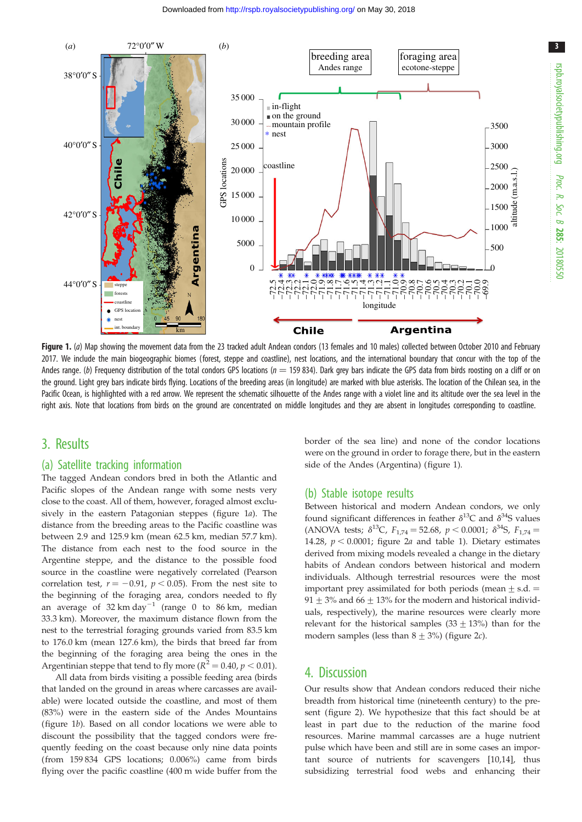<span id="page-2-0"></span>

Figure 1. (a) Map showing the movement data from the 23 tracked adult Andean condors (13 females and 10 males) collected between October 2010 and February 2017. We include the main biogeographic biomes (forest, steppe and coastline), nest locations, and the international boundary that concur with the top of the Andes range. (b) Frequency distribution of the total condors GPS locations ( $n = 159834$ ). Dark grey bars indicate the GPS data from birds roosting on a cliff or on the ground. Light grey bars indicate birds flying. Locations of the breeding areas (in longitude) are marked with blue asterisks. The location of the Chilean sea, in the Pacific Ocean, is highlighted with a red arrow. We represent the schematic silhouette of the Andes range with a violet line and its altitude over the sea level in the right axis. Note that locations from birds on the ground are concentrated on middle longitudes and they are absent in longitudes corresponding to coastline.

## 3. Results

#### (a) Satellite tracking information

The tagged Andean condors bred in both the Atlantic and Pacific slopes of the Andean range with some nests very close to the coast. All of them, however, foraged almost exclusively in the eastern Patagonian steppes (figure 1a). The distance from the breeding areas to the Pacific coastline was between 2.9 and 125.9 km (mean 62.5 km, median 57.7 km). The distance from each nest to the food source in the Argentine steppe, and the distance to the possible food source in the coastline were negatively correlated (Pearson correlation test,  $r = -0.91$ ,  $p < 0.05$ ). From the nest site to the beginning of the foraging area, condors needed to fly an average of  $32 \text{ km day}^{-1}$  (range 0 to 86 km, median 33.3 km). Moreover, the maximum distance flown from the nest to the terrestrial foraging grounds varied from 83.5 km to 176.0 km (mean 127.6 km), the birds that breed far from the beginning of the foraging area being the ones in the Argentinian steppe that tend to fly more ( $R^2 = 0.40$ ,  $p < 0.01$ ).

All data from birds visiting a possible feeding area (birds that landed on the ground in areas where carcasses are available) were located outside the coastline, and most of them (83%) were in the eastern side of the Andes Mountains (figure 1b). Based on all condor locations we were able to discount the possibility that the tagged condors were frequently feeding on the coast because only nine data points (from 159 834 GPS locations; 0.006%) came from birds flying over the pacific coastline (400 m wide buffer from the border of the sea line) and none of the condor locations were on the ground in order to forage there, but in the eastern side of the Andes (Argentina) (figure 1).

#### (b) Stable isotope results

Between historical and modern Andean condors, we only found significant differences in feather  $\delta^{13}$ C and  $\delta^{34}$ S values (ANOVA tests;  $\delta^{13}C$ ,  $F_{1,74} = 52.68$ ,  $p < 0.0001$ ;  $\delta^{34}S$ ,  $F_{1,74} =$ 14.28,  $p < 0.0001$ ; [figure 2](#page-3-0)*a* and [table 1\)](#page-4-0). Dietary estimates derived from mixing models revealed a change in the dietary habits of Andean condors between historical and modern individuals. Although terrestrial resources were the most important prey assimilated for both periods (mean  $\pm$  s.d.  $=$ 91  $\pm$  3% and 66  $\pm$  13% for the modern and historical individuals, respectively), the marine resources were clearly more relevant for the historical samples  $(33 \pm 13%)$  than for the modern samples (less than  $8 \pm 3\%$ ) [\(figure 2](#page-3-0)*c*).

#### 4. Discussion

Our results show that Andean condors reduced their niche breadth from historical time (nineteenth century) to the present [\(figure 2\)](#page-3-0). We hypothesize that this fact should be at least in part due to the reduction of the marine food resources. Marine mammal carcasses are a huge nutrient pulse which have been and still are in some cases an important source of nutrients for scavengers [[10,14](#page-5-0)], thus subsidizing terrestrial food webs and enhancing their

3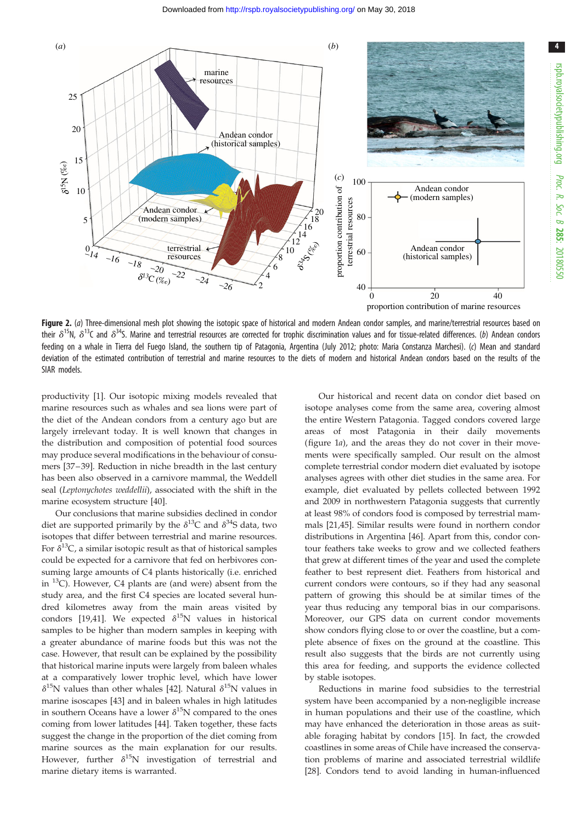<span id="page-3-0"></span>

Figure 2. (a) Three-dimensional mesh plot showing the isotopic space of historical and modern Andean condor samples, and marine/terrestrial resources based on their  $\delta^{15}N$ ,  $\delta^{13}C$  and  $\delta^{34}S$ . Marine and terrestrial resources are corrected for trophic discrimination values and for tissue-related differences. (b) Andean condors feeding on a whale in Tierra del Fuego Island, the southern tip of Patagonia, Argentina (July 2012; photo: Maria Constanza Marchesi). (c) Mean and standard deviation of the estimated contribution of terrestrial and marine resources to the diets of modern and historical Andean condors based on the results of the SIAR models.

productivity [\[1\]](#page-5-0). Our isotopic mixing models revealed that marine resources such as whales and sea lions were part of the diet of the Andean condors from a century ago but are largely irrelevant today. It is well known that changes in the distribution and composition of potential food sources may produce several modifications in the behaviour of consumers [[37](#page-6-0)–[39\]](#page-6-0). Reduction in niche breadth in the last century has been also observed in a carnivore mammal, the Weddell seal (Leptonychotes weddellii), associated with the shift in the marine ecosystem structure [[40\]](#page-6-0).

Our conclusions that marine subsidies declined in condor diet are supported primarily by the  $\delta^{13}$ C and  $\delta^{34}$ S data, two isotopes that differ between terrestrial and marine resources. For  $\delta^{13}$ C, a similar isotopic result as that of historical samples could be expected for a carnivore that fed on herbivores consuming large amounts of C4 plants historically (i.e. enriched in  $^{13}$ C). However, C4 plants are (and were) absent from the study area, and the first C4 species are located several hundred kilometres away from the main areas visited by condors [\[19](#page-5-0),[41\]](#page-6-0). We expected  $\delta^{15}N$  values in historical samples to be higher than modern samples in keeping with a greater abundance of marine foods but this was not the case. However, that result can be explained by the possibility that historical marine inputs were largely from baleen whales at a comparatively lower trophic level, which have lower  $\delta^{15}$ N values than other whales [\[42](#page-6-0)]. Natural  $\delta^{15}$ N values in marine isoscapes [[43\]](#page-6-0) and in baleen whales in high latitudes in southern Oceans have a lower  $\delta^{15}N$  compared to the ones coming from lower latitudes [\[44](#page-6-0)]. Taken together, these facts suggest the change in the proportion of the diet coming from marine sources as the main explanation for our results. However, further  $\delta^{15}N$  investigation of terrestrial and marine dietary items is warranted.

Our historical and recent data on condor diet based on isotope analyses come from the same area, covering almost the entire Western Patagonia. Tagged condors covered large areas of most Patagonia in their daily movements ([figure 1](#page-2-0)a), and the areas they do not cover in their movements were specifically sampled. Our result on the almost complete terrestrial condor modern diet evaluated by isotope analyses agrees with other diet studies in the same area. For example, diet evaluated by pellets collected between 1992 and 2009 in northwestern Patagonia suggests that currently at least 98% of condors food is composed by terrestrial mammals [[21,](#page-5-0)[45](#page-6-0)]. Similar results were found in northern condor distributions in Argentina [[46\]](#page-6-0). Apart from this, condor contour feathers take weeks to grow and we collected feathers that grew at different times of the year and used the complete feather to best represent diet. Feathers from historical and current condors were contours, so if they had any seasonal pattern of growing this should be at similar times of the year thus reducing any temporal bias in our comparisons. Moreover, our GPS data on current condor movements show condors flying close to or over the coastline, but a complete absence of fixes on the ground at the coastline. This result also suggests that the birds are not currently using this area for feeding, and supports the evidence collected by stable isotopes.

Reductions in marine food subsidies to the terrestrial system have been accompanied by a non-negligible increase in human populations and their use of the coastline, which may have enhanced the deterioration in those areas as suitable foraging habitat by condors [\[15](#page-5-0)]. In fact, the crowded coastlines in some areas of Chile have increased the conservation problems of marine and associated terrestrial wildlife [[28\]](#page-5-0). Condors tend to avoid landing in human-influenced

4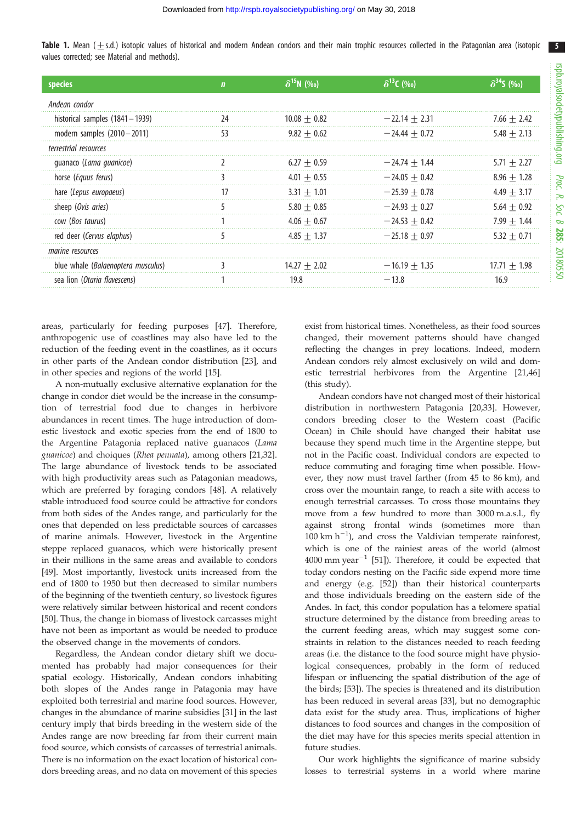5

<span id="page-4-0"></span>Table 1. Mean  $(\pm s.d.)$  isotopic values of historical and modern Andean condors and their main trophic resources collected in the Patagonian area (isotopic values corrected; see Material and methods).

| species                            | n  | $\delta^{15}N$ (‰) | $\delta^{13}$ C (%o) | $\delta^{34}$ S (‰) |
|------------------------------------|----|--------------------|----------------------|---------------------|
| Andean condor                      |    |                    |                      |                     |
| historical samples $(1841 - 1939)$ | 24 | $10.08 + 0.82$     | $-22.14 + 2.31$      | $7.66 + 2.42$       |
| modern samples $(2010 - 2011)$     | 53 | $9.82 + 0.62$      | $-24.44 + 0.72$      | $5.48 + 2.13$       |
| terrestrial resources              |    |                    |                      |                     |
| quanaco (Lama guanicoe)            |    | $6.27 + 0.59$      | $-24.74 + 1.44$      | $5.71 + 2.27$       |
| horse (Equus ferus)                |    | $4.01 + 0.55$      | $-24.05 + 0.42$      | $8.96 + 1.28$       |
| hare (Lepus europaeus)             | 17 | $3.31 + 1.01$      | $-25.39 + 0.78$      | $4.49 + 3.17$       |
| sheep (Ovis aries)                 |    | $5.80 + 0.85$      | $-24.93 + 0.27$      | $5.64 + 0.92$       |
| cow (Bos taurus)                   |    | $4.06 + 0.67$      | $-24.53 + 0.42$      | $7.99 + 1.44$       |
| red deer (Cervus elaphus)          |    | $4.85 + 1.37$      | $-25.18 + 0.97$      | $5.32 + 0.71$       |
| marine resources                   |    |                    |                      |                     |
| blue whale (Balaenoptera musculus) |    | $14.27 + 2.02$     | $-16.19 + 1.35$      | $17.71 + 1.98$      |
| sea lion (Otaria flavescens)       |    | 19.8               | $-13.8$              | 16.9                |

areas, particularly for feeding purposes [\[47](#page-6-0)]. Therefore, anthropogenic use of coastlines may also have led to the reduction of the feeding event in the coastlines, as it occurs in other parts of the Andean condor distribution [\[23](#page-5-0)], and in other species and regions of the world [[15\]](#page-5-0).

A non-mutually exclusive alternative explanation for the change in condor diet would be the increase in the consumption of terrestrial food due to changes in herbivore abundances in recent times. The huge introduction of domestic livestock and exotic species from the end of 1800 to the Argentine Patagonia replaced native guanacos (Lama guanicoe) and choiques (Rhea pennata), among others [\[21](#page-5-0)[,32](#page-6-0)]. The large abundance of livestock tends to be associated with high productivity areas such as Patagonian meadows, which are preferred by foraging condors [[48\]](#page-6-0). A relatively stable introduced food source could be attractive for condors from both sides of the Andes range, and particularly for the ones that depended on less predictable sources of carcasses of marine animals. However, livestock in the Argentine steppe replaced guanacos, which were historically present in their millions in the same areas and available to condors [\[49](#page-6-0)]. Most importantly, livestock units increased from the end of 1800 to 1950 but then decreased to similar numbers of the beginning of the twentieth century, so livestock figures were relatively similar between historical and recent condors [\[50](#page-6-0)]. Thus, the change in biomass of livestock carcasses might have not been as important as would be needed to produce the observed change in the movements of condors.

Regardless, the Andean condor dietary shift we documented has probably had major consequences for their spatial ecology. Historically, Andean condors inhabiting both slopes of the Andes range in Patagonia may have exploited both terrestrial and marine food sources. However, changes in the abundance of marine subsidies [\[31](#page-6-0)] in the last century imply that birds breeding in the western side of the Andes range are now breeding far from their current main food source, which consists of carcasses of terrestrial animals. There is no information on the exact location of historical condors breeding areas, and no data on movement of this species

exist from historical times. Nonetheless, as their food sources changed, their movement patterns should have changed reflecting the changes in prey locations. Indeed, modern Andean condors rely almost exclusively on wild and domestic terrestrial herbivores from the Argentine [[21,](#page-5-0)[46\]](#page-6-0) (this study).

Andean condors have not changed most of their historical distribution in northwestern Patagonia [\[20](#page-5-0)[,33](#page-6-0)]. However, condors breeding closer to the Western coast (Pacific Ocean) in Chile should have changed their habitat use because they spend much time in the Argentine steppe, but not in the Pacific coast. Individual condors are expected to reduce commuting and foraging time when possible. However, they now must travel farther (from 45 to 86 km), and cross over the mountain range, to reach a site with access to enough terrestrial carcasses. To cross those mountains they move from a few hundred to more than 3000 m.a.s.l., fly against strong frontal winds (sometimes more than 100 km  $h^{-1}$ ), and cross the Valdivian temperate rainforest, which is one of the rainiest areas of the world (almost  $4000$  mm year<sup>-1</sup> [\[51](#page-6-0)]). Therefore, it could be expected that today condors nesting on the Pacific side expend more time and energy (e.g. [[52\]](#page-6-0)) than their historical counterparts and those individuals breeding on the eastern side of the Andes. In fact, this condor population has a telomere spatial structure determined by the distance from breeding areas to the current feeding areas, which may suggest some constraints in relation to the distances needed to reach feeding areas (i.e. the distance to the food source might have physiological consequences, probably in the form of reduced lifespan or influencing the spatial distribution of the age of the birds; [\[53](#page-6-0)]). The species is threatened and its distribution has been reduced in several areas [\[33](#page-6-0)], but no demographic data exist for the study area. Thus, implications of higher distances to food sources and changes in the composition of the diet may have for this species merits special attention in future studies.

Our work highlights the significance of marine subsidy losses to terrestrial systems in a world where marine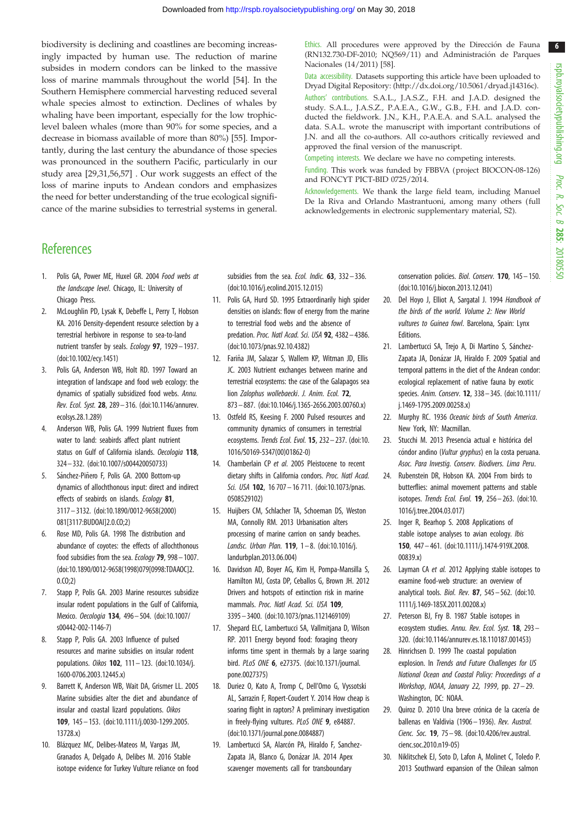6

<span id="page-5-0"></span>biodiversity is declining and coastlines are becoming increasingly impacted by human use. The reduction of marine subsides in modern condors can be linked to the massive loss of marine mammals throughout the world [\[54](#page-6-0)]. In the Southern Hemisphere commercial harvesting reduced several whale species almost to extinction. Declines of whales by whaling have been important, especially for the low trophiclevel baleen whales (more than 90% for some species, and a decrease in biomass available of more than 80%) [\[55](#page-6-0)]. Importantly, during the last century the abundance of those species was pronounced in the southern Pacific, particularly in our study area [29[,31,56,57](#page-6-0)] . Our work suggests an effect of the loss of marine inputs to Andean condors and emphasizes the need for better understanding of the true ecological significance of the marine subsidies to terrestrial systems in general.

## **References**

- Polis GA, Power ME, Huxel GR. 2004 Food webs at the landscape level. Chicago, IL: University of Chicago Press.
- 2. McLoughlin PD, Lysak K, Debeffe L, Perry T, Hobson KA. 2016 Density-dependent resource selection by a terrestrial herbivore in response to sea-to-land nutrient transfer by seals. Ecology 97, 1929– 1937. [\(doi:10.1002/ecy.1451\)](http://dx.doi.org/10.1002/ecy.1451)
- 3. Polis GA, Anderson WB, Holt RD. 1997 Toward an integration of landscape and food web ecology: the dynamics of spatially subsidized food webs. Annu. Rev. Ecol. Syst. 28, 289– 316. ([doi:10.1146/annurev.](http://dx.doi.org/10.1146/annurev.ecolsys.28.1.289) [ecolsys.28.1.289](http://dx.doi.org/10.1146/annurev.ecolsys.28.1.289))
- 4. Anderson WB, Polis GA. 1999 Nutrient fluxes from water to land: seabirds affect plant nutrient status on Gulf of California islands. Oecologia 118, 324– 332. ([doi:10.1007/s004420050733](http://dx.doi.org/10.1007/s004420050733))
- 5. Sánchez-Piñero F, Polis GA. 2000 Bottom-up dynamics of allochthonous input: direct and indirect effects of seabirds on islands. Ecology 81, 3117 – 3132. [\(doi:10.1890/0012-9658\(2000\)](http://dx.doi.org/10.1890/0012-9658(2000)081[3117:BUDOAI]2.0.CO;2) [081\[3117:BUDOAI\]2.0.CO;2](http://dx.doi.org/10.1890/0012-9658(2000)081[3117:BUDOAI]2.0.CO;2))
- 6. Rose MD, Polis GA. 1998 The distribution and abundance of coyotes: the effects of allochthonous food subsidies from the sea. Ecology 79, 998 - 1007. [\(doi:10.1890/0012-9658\(1998\)079\[0998:TDAAOC\]2.](http://dx.doi.org/10.1890/0012-9658(1998)079[0998:TDAAOC]2.0.CO;2) [0.CO;2](http://dx.doi.org/10.1890/0012-9658(1998)079[0998:TDAAOC]2.0.CO;2))
- 7. Stapp P, Polis GA. 2003 Marine resources subsidize insular rodent populations in the Gulf of California, Mexico. Oecologia 134, 496– 504. [\(doi:10.1007/](http://dx.doi.org/10.1007/s00442-002-1146-7) [s00442-002-1146-7\)](http://dx.doi.org/10.1007/s00442-002-1146-7)
- 8. Stapp P, Polis GA. 2003 Influence of pulsed resources and marine subsidies on insular rodent populations. Oikos 102, 111– 123. [\(doi:10.1034/j.](http://dx.doi.org/10.1034/j.1600-0706.2003.12445.x) [1600-0706.2003.12445.x\)](http://dx.doi.org/10.1034/j.1600-0706.2003.12445.x)
- 9. Barrett K, Anderson WB, Wait DA, Grismer LL. 2005 Marine subsidies alter the diet and abundance of insular and coastal lizard populations. Oikos 109, 145 – 153. [\(doi:10.1111/j.0030-1299.2005.](http://dx.doi.org/10.1111/j.0030-1299.2005.13728.x) [13728.x\)](http://dx.doi.org/10.1111/j.0030-1299.2005.13728.x)
- 10. Blázquez MC, Delibes-Mateos M, Vargas JM, Granados A, Delgado A, Delibes M. 2016 Stable isotope evidence for Turkey Vulture reliance on food

subsidies from the sea. Ecol. Indic.  $63$ ,  $332-336$ . [\(doi:10.1016/j.ecolind.2015.12.015](http://dx.doi.org/10.1016/j.ecolind.2015.12.015))

- 11. Polis GA, Hurd SD. 1995 Extraordinarily high spider densities on islands: flow of energy from the marine to terrestrial food webs and the absence of predation. Proc. Natl Acad. Sci. USA 92, 4382-4386. [\(doi:10.1073/pnas.92.10.4382\)](http://dx.doi.org/10.1073/pnas.92.10.4382)
- 12. Fariña JM, Salazar S, Wallem KP, Witman JD, Ellis JC. 2003 Nutrient exchanges between marine and terrestrial ecosystems: the case of the Galapagos sea lion Zalophus wollebaecki. J. Anim. Ecol. 72, 873 – 887. [\(doi:10.1046/j.1365-2656.2003.00760.x](http://dx.doi.org/10.1046/j.1365-2656.2003.00760.x))
- 13. Ostfeld RS, Keesing F. 2000 Pulsed resources and community dynamics of consumers in terrestrial ecosystems. Trends Ecol. Evol. 15, 232 – 237. [\(doi:10.](http://dx.doi.org/10.1016/S0169-5347(00)01862-0) [1016/S0169-5347\(00\)01862-0](http://dx.doi.org/10.1016/S0169-5347(00)01862-0))
- 14. Chamberlain CP et al. 2005 Pleistocene to recent dietary shifts in California condors. Proc. Natl Acad. Sci. USA 102, 16 707 - 16 711. ([doi:10.1073/pnas.](http://dx.doi.org/10.1073/pnas.0508529102) [0508529102\)](http://dx.doi.org/10.1073/pnas.0508529102)
- 15. Huijbers CM, Schlacher TA, Schoeman DS, Weston MA, Connolly RM. 2013 Urbanisation alters processing of marine carrion on sandy beaches. Landsc. Urban Plan. 119, 1-8. ([doi:10.1016/j.](http://dx.doi.org/10.1016/j.landurbplan.2013.06.004) [landurbplan.2013.06.004\)](http://dx.doi.org/10.1016/j.landurbplan.2013.06.004)
- 16. Davidson AD, Boyer AG, Kim H, Pompa-Mansilla S, Hamilton MJ, Costa DP, Ceballos G, Brown JH. 2012 Drivers and hotspots of extinction risk in marine mammals. Proc. Natl Acad. Sci. USA 109, 3395– 3400. [\(doi:10.1073/pnas.1121469109\)](http://dx.doi.org/10.1073/pnas.1121469109)
- 17. Shepard ELC, Lambertucci SA, Vallmitjana D, Wilson RP. 2011 Energy beyond food: foraging theory informs time spent in thermals by a large soaring bird. PLoS ONE 6, e27375. [\(doi:10.1371/journal.](http://dx.doi.org/10.1371/journal.pone.0027375) [pone.0027375\)](http://dx.doi.org/10.1371/journal.pone.0027375)
- 18. Duriez O, Kato A, Tromp C, Dell'Omo G, Vyssotski AL, Sarrazin F, Ropert-Coudert Y. 2014 How cheap is soaring flight in raptors? A preliminary investigation in freely-flying vultures. PLoS ONE 9, e84887. [\(doi:10.1371/journal.pone.0084887\)](http://dx.doi.org/10.1371/journal.pone.0084887)
- 19. Lambertucci SA, Alarcón PA, Hiraldo F, Sanchez-Zapata JA, Blanco G, Donázar JA. 2014 Apex scavenger movements call for transboundary

Ethics. All procedures were approved by the Dirección de Fauna  $(RN132.730-DF-2010; NQ569/11)$  and Administración de Parques Nacionales (14/2011) [[58\]](#page-6-0).

Data accessibility. Datasets supporting this article have been uploaded to Dryad Digital Repository: ([http://dx.doi.org/10.5061/dryad.j14316c\)](http://dx.doi.org/10.5061/dryad.j14316c). Authors' contributions. S.A.L., J.A.S.Z., F.H. and J.A.D. designed the study. S.A.L., J.A.S.Z., P.A.E.A., G.W., G.B., F.H. and J.A.D. conducted the fieldwork. J.N., K.H., P.A.E.A. and S.A.L. analysed the data. S.A.L. wrote the manuscript with important contributions of J.N. and all the co-authors. All co-authors critically reviewed and approved the final version of the manuscript.

Competing interests. We declare we have no competing interests.

Funding. This work was funded by FBBVA (project BIOCON-08-126) and FONCYT PICT-BID 0725/2014.

Acknowledgements. We thank the large field team, including Manuel De la Riva and Orlando Mastrantuoni, among many others (full acknowledgements in electronic supplementary material, S2).

> conservation policies. Biol. Conserv. 170, 145 – 150. ([doi:10.1016/j.biocon.2013.12.041](http://dx.doi.org/10.1016/j.biocon.2013.12.041))

- 20. Del Hoyo J, Elliot A, Sargatal J. 1994 Handbook of the birds of the world. Volume 2: New World vultures to Guinea fowl. Barcelona, Spain: Lynx Editions.
- 21. Lambertucci SA, Trejo A, Di Martino S, Sánchez-Zapata JA, Donázar JA, Hiraldo F. 2009 Spatial and temporal patterns in the diet of the Andean condor: ecological replacement of native fauna by exotic species. Anim. Conserv. 12, 338– 345. [\(doi:10.1111/](http://dx.doi.org/10.1111/j.1469-1795.2009.00258.x) [j.1469-1795.2009.00258.x\)](http://dx.doi.org/10.1111/j.1469-1795.2009.00258.x)
- 22. Murphy RC. 1936 Oceanic birds of South America. New York, NY: Macmillan.
- 23. Stucchi M. 2013 Presencia actual e histórica del cóndor andino (Vultur gryphus) en la costa peruana. Asoc. Para Investig. Conserv. Biodivers. Lima Peru.
- 24. Rubenstein DR, Hobson KA. 2004 From birds to butterflies: animal movement patterns and stable isotopes. Trends Ecol. Evol. 19, 256 – 263. [\(doi:10.](http://dx.doi.org/10.1016/j.tree.2004.03.017) [1016/j.tree.2004.03.017](http://dx.doi.org/10.1016/j.tree.2004.03.017))
- 25. Inger R, Bearhop S. 2008 Applications of stable isotope analyses to avian ecology. Ibis 150, 447– 461. [\(doi:10.1111/j.1474-919X.2008.](http://dx.doi.org/10.1111/j.1474-919X.2008.00839.x) [00839.x](http://dx.doi.org/10.1111/j.1474-919X.2008.00839.x))
- 26. Layman CA et al. 2012 Applying stable isotopes to examine food-web structure: an overview of analytical tools. Biol. Rev. 87, 545 – 562. [\(doi:10.](http://dx.doi.org/10.1111/j.1469-185X.2011.00208.x) [1111/j.1469-185X.2011.00208.x\)](http://dx.doi.org/10.1111/j.1469-185X.2011.00208.x)
- 27. Peterson BJ, Fry B. 1987 Stable isotopes in ecosystem studies. Annu. Rev. Ecol. Syst. 18, 293– 320. ([doi:10.1146/annurev.es.18.110187.001453](http://dx.doi.org/10.1146/annurev.es.18.110187.001453))
- 28. Hinrichsen D. 1999 The coastal population explosion. In Trends and Future Challenges for US National Ocean and Coastal Policy: Proceedings of a Workshop, NOAA, January 22, 1999, pp. 27 – 29. Washington, DC: NOAA.
- 29. Quiroz D. 2010 Una breve crónica de la cacería de ballenas en Valdivia (1906– 1936). Rev. Austral. Cienc. Soc. 19, 75 – 98. ([doi:10.4206/rev.austral.](http://dx.doi.org/10.4206/rev.austral.cienc.soc.2010.n19-05) [cienc.soc.2010.n19-05\)](http://dx.doi.org/10.4206/rev.austral.cienc.soc.2010.n19-05)
- 30. Niklitschek EJ, Soto D, Lafon A, Molinet C, Toledo P. 2013 Southward expansion of the Chilean salmon